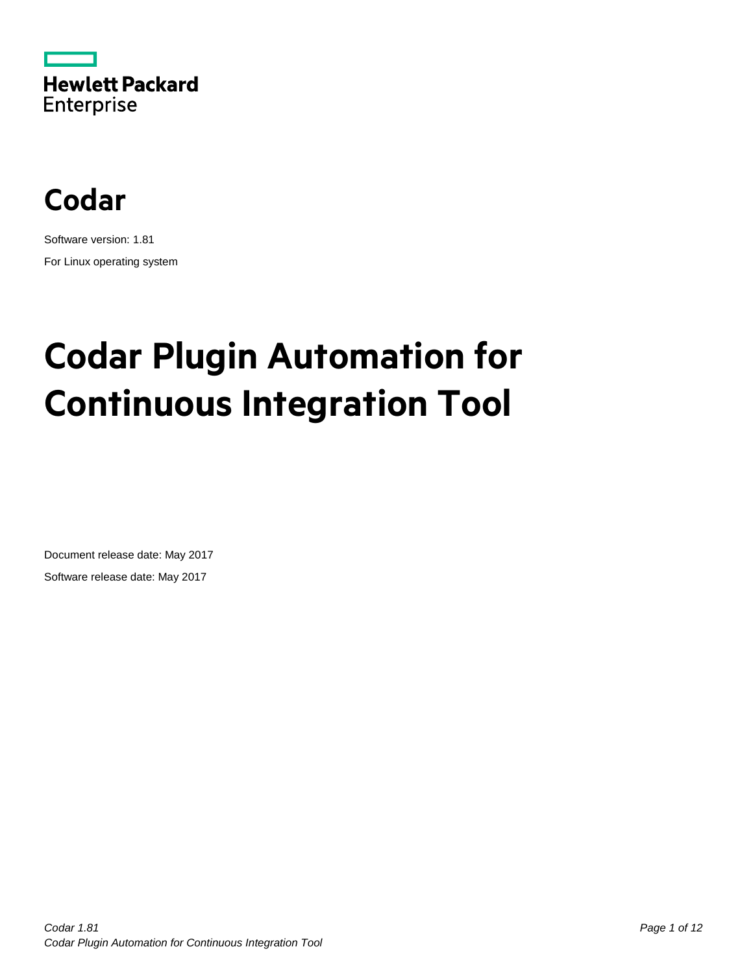



Software version: 1.81 For Linux operating system

# **Codar Plugin Automation for Continuous Integration Tool**

Document release date: May 2017 Software release date: May 2017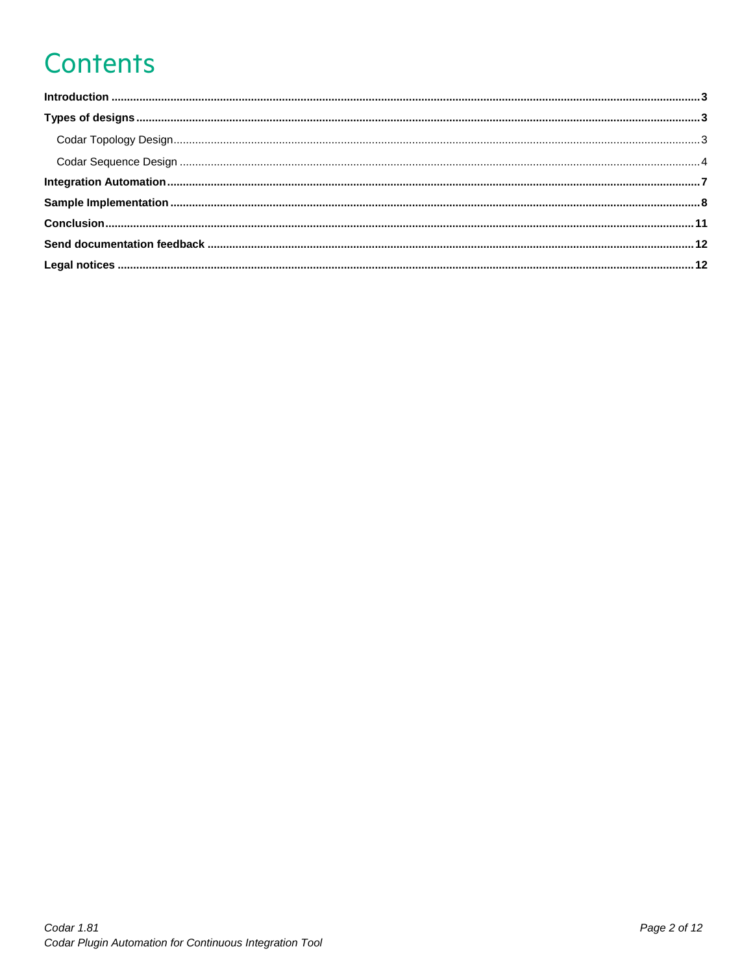## **Contents**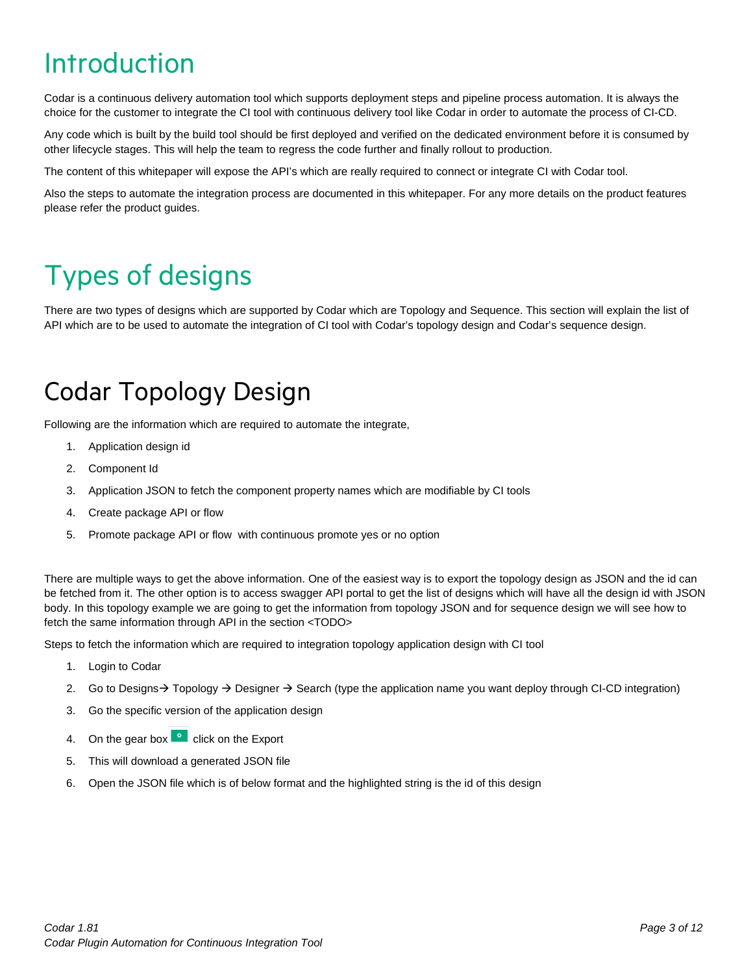### <span id="page-2-0"></span>Introduction

Codar is a continuous delivery automation tool which supports deployment steps and pipeline process automation. It is always the choice for the customer to integrate the CI tool with continuous delivery tool like Codar in order to automate the process of CI-CD.

Any code which is built by the build tool should be first deployed and verified on the dedicated environment before it is consumed by other lifecycle stages. This will help the team to regress the code further and finally rollout to production.

The content of this whitepaper will expose the API's which are really required to connect or integrate CI with Codar tool.

Also the steps to automate the integration process are documented in this whitepaper. For any more details on the product features please refer the product guides.

### <span id="page-2-1"></span>Types of designs

There are two types of designs which are supported by Codar which are Topology and Sequence. This section will explain the list of API which are to be used to automate the integration of CI tool with Codar's topology design and Codar's sequence design.

#### <span id="page-2-2"></span>Codar Topology Design

Following are the information which are required to automate the integrate,

- 1. Application design id
- 2. Component Id
- 3. Application JSON to fetch the component property names which are modifiable by CI tools
- 4. Create package API or flow
- 5. Promote package API or flow with continuous promote yes or no option

There are multiple ways to get the above information. One of the easiest way is to export the topology design as JSON and the id can be fetched from it. The other option is to access swagger API portal to get the list of designs which will have all the design id with JSON body. In this topology example we are going to get the information from topology JSON and for sequence design we will see how to fetch the same information through API in the section <TODO>

Steps to fetch the information which are required to integration topology application design with CI tool

- 1. Login to Codar
- 2. Go to Designs  $\rightarrow$  Topology  $\rightarrow$  Designer  $\rightarrow$  Search (type the application name you want deploy through CI-CD integration)
- 3. Go the specific version of the application design
- 4. On the gear box click on the Export
- 5. This will download a generated JSON file
- 6. Open the JSON file which is of below format and the highlighted string is the id of this design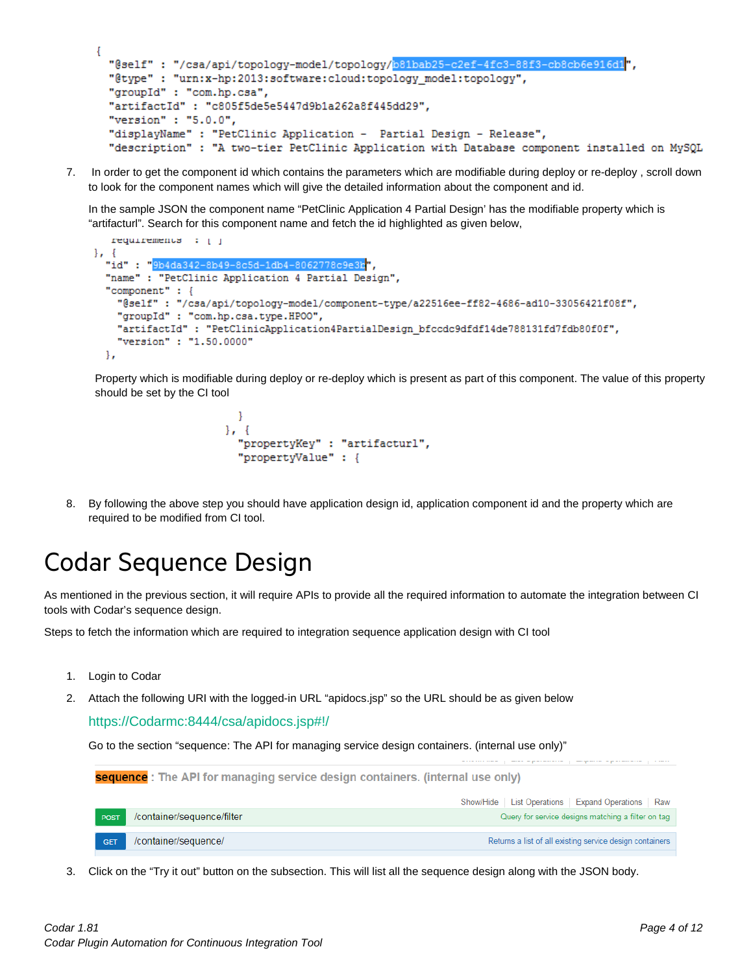```
ł
 "@self": "/csa/api/topology-model/topology/b81bab25-c2ef-4fc3-88f3-cb8cb6e916dl",
 "@type" : "urn:x-hp:2013:software:cloud:topology_model:topology",
 "groupId" : "com.hp.csa",
 "artifactId": "c805f5de5e5447d9b1a262a8f445dd29",
 "version" : "5.0.0",
 "displayName" : "PetClinic Application - Partial Design - Release",
 "description" : "A two-tier PetClinic Application with Database component installed on MySQL
```
7. In order to get the component id which contains the parameters which are modifiable during deploy or re-deploy , scroll down to look for the component names which will give the detailed information about the component and id.

In the sample JSON the component name "PetClinic Application 4 Partial Design' has the modifiable property which is "artifacturl". Search for this component name and fetch the id highlighted as given below,

```
requirements : [ ]
\}, {
  "id": "9b4da342-8b49-8c5d-1db4-8062778c9e3b",
  "name" : "PetClinic Application 4 Partial Design",
  "component" : {
    "@self": "/csa/api/topology-model/component-type/a22516ee-ff82-4686-ad10-33056421f08f",
    "groupId" : "com.hp.csa.type.HPOO",
    "artifactId": "PetClinicApplication4PartialDesign_bfccdc9dfdf14de788131fd7fdb80f0f",
    "version" : "1.50.0000"
  Β,
```
Property which is modifiable during deploy or re-deploy which is present as part of this component. The value of this property should be set by the CI tool

```
-1
\mathbf{L}"propertyKey" : "artifacturl",
  "propertyValue" : {
```
8. By following the above step you should have application design id, application component id and the property which are required to be modified from CI tool.

#### <span id="page-3-0"></span>Codar Sequence Design

As mentioned in the previous section, it will require APIs to provide all the required information to automate the integration between CI tools with Codar's sequence design.

Steps to fetch the information which are required to integration sequence application design with CI tool

- 1. Login to Codar
- 2. Attach the following URI with the logged-in URL "apidocs.jsp" so the URL should be as given below

[https://Codarmc:8444/csa/apidocs.jsp#!/](https://codarmc:8444/csa/apidocs.jsp#!/)

Go to the section "sequence: The API for managing service design containers. (internal use only)"

| sequence : The API for managing service design containers. (internal use only) |                            |                                                          |  |  |  |  |  |
|--------------------------------------------------------------------------------|----------------------------|----------------------------------------------------------|--|--|--|--|--|
|                                                                                |                            | List Operations   Expand Operations   Raw<br>Show/Hide   |  |  |  |  |  |
| POST                                                                           | /container/sequence/filter | Query for service designs matching a filter on tag       |  |  |  |  |  |
| <b>GET</b>                                                                     | /container/sequence/       | Returns a list of all existing service design containers |  |  |  |  |  |

3. Click on the "Try it out" button on the subsection. This will list all the sequence design along with the JSON body.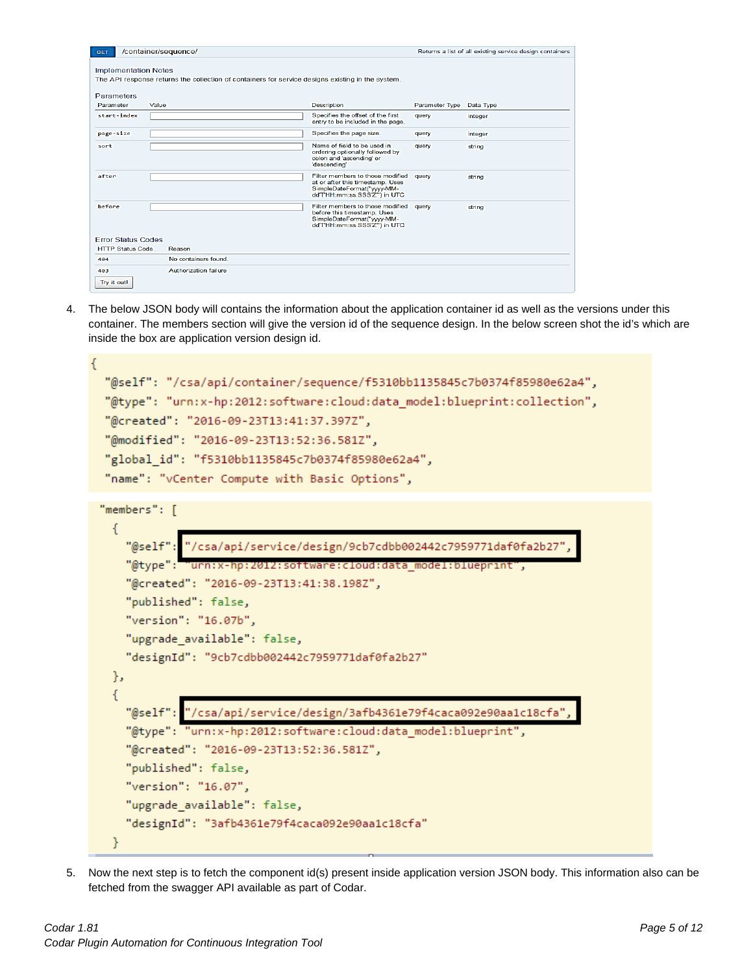| GET                         | /container/sequence/                                                                              |                                                                                                                                   |                       | Returns a list of all existing service design containers |
|-----------------------------|---------------------------------------------------------------------------------------------------|-----------------------------------------------------------------------------------------------------------------------------------|-----------------------|----------------------------------------------------------|
| <b>Implementation Notes</b> | The API response returns the collection of containers for service designs existing in the system. |                                                                                                                                   |                       |                                                          |
| Parameters                  |                                                                                                   |                                                                                                                                   |                       |                                                          |
| Parameter                   | Value                                                                                             | <b>Description</b>                                                                                                                | <b>Parameter Type</b> | Data Type                                                |
| start-index                 |                                                                                                   | Specifies the offset of the first<br>entry to be included in the page.                                                            | query                 | integer                                                  |
| page-size                   |                                                                                                   | Specifies the page size.                                                                                                          | query                 | integer                                                  |
| sort                        |                                                                                                   | Name of field to be used in<br>ordering optionally followed by<br>colon and 'ascending' or<br>'descending'                        | query                 | string                                                   |
| after                       |                                                                                                   | Filter members to those modified<br>at or after this timestamp. Uses<br>SimpleDateFormat("yyyy-MM-<br>ddTHH:mm:ss.SSS'Z"') in UTC | query                 | string                                                   |
| before                      |                                                                                                   | Filter members to those modified<br>before this timestamp. Uses<br>SimpleDateFormat("yyyy-MM-<br>ddTHH:mm:ss.SSS'Z"') in UTC      | query                 | string                                                   |
| <b>Error Status Codes</b>   |                                                                                                   |                                                                                                                                   |                       |                                                          |
| <b>HTTP Status Code</b>     | Reason                                                                                            |                                                                                                                                   |                       |                                                          |
| 404                         | No containers found.                                                                              |                                                                                                                                   |                       |                                                          |
| 403<br>Try it out!          | Authorization failure                                                                             |                                                                                                                                   |                       |                                                          |

4. The below JSON body will contains the information about the application container id as well as the versions under this container. The members section will give the version id of the sequence design. In the below screen shot the id's which are inside the box are application version design id.

```
₹
  "@self": "/csa/api/container/sequence/f5310bb1135845c7b0374f85980e62a4",
  "@type": "urn:x-hp:2012:software:cloud:data model:blueprint:collection",
  "@created": "2016-09-23T13:41:37.397Z",
  "@modified": "2016-09-23T13:52:36.581Z",
  "global id": "f5310bb1135845c7b0374f85980e62a4",
  "name": "vCenter Compute with Basic Options",
 "members": [
   \overline{A}"@self": "/csa/api/service/design/9cb7cdbb002442c7959771daf0fa2b27",
     "@type": "urn:x-hp:2012:software:cloud:data model:blueprint",
     "@created": "2016-09-23T13:41:38.198Z",
     "published": false,
     "version": "16.07b",
     "upgrade available": false,
     "designId": "9cb7cdbb002442c7959771daf0fa2b27"
   },
   Ł
     "@self": "/csa/api/service/design/3afb4361e79f4caca092e90aa1c18cfa",
     "@type": "urn:x-hp:2012:software:cloud:data model:blueprint",
     "@created": "2016-09-23T13:52:36.581Z",
     "published": false,
     "version": "16.07",
     "upgrade_available": false,
     "designId": "3afb4361e79f4caca092e90aa1c18cfa"
   }
```
5. Now the next step is to fetch the component id(s) present inside application version JSON body. This information also can be fetched from the swagger API available as part of Codar.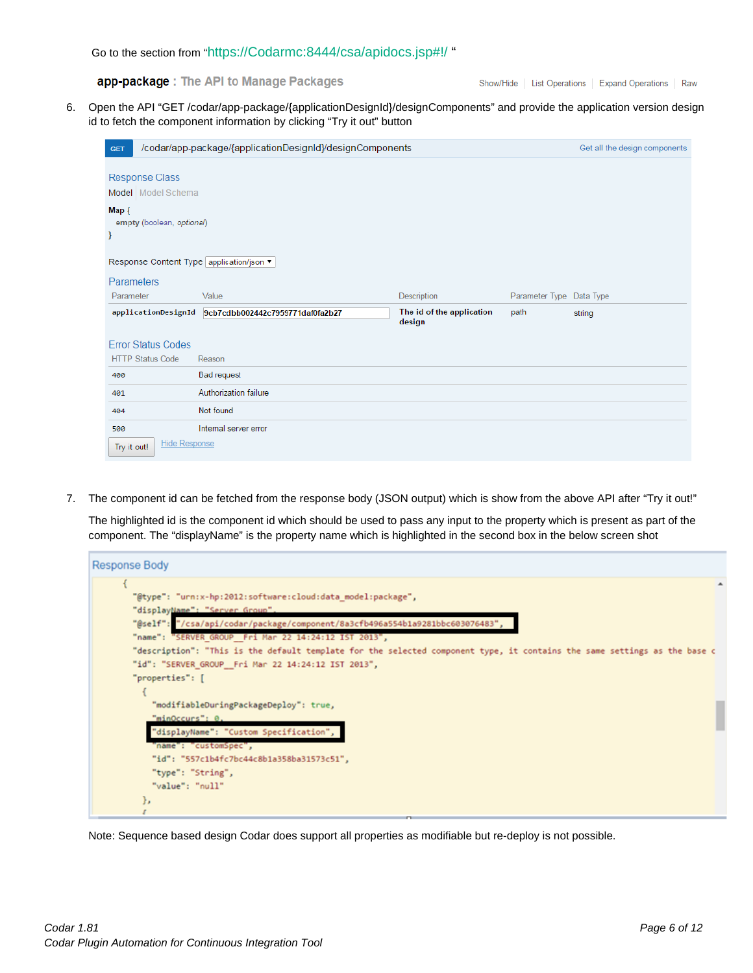app-package: The API to Manage Packages

Show/Hide | List Operations | Expand Operations | Raw

6. Open the API ["GET](https://172.16.222.101:18444/csa/apidocs.jsp#!/app-package/getDesignComponents_get_17) [/codar/app-package/{applicationDesignId}/designComponents"](https://172.16.222.101:18444/csa/apidocs.jsp#!/app-package/getDesignComponents_get_17) and provide the application version design id to fetch the component information by clicking "Try it out" button

| <b>GET</b>                                          | /codar/app-package/{applicationDesignId}/designComponents |                                     |                          | Get all the design components |
|-----------------------------------------------------|-----------------------------------------------------------|-------------------------------------|--------------------------|-------------------------------|
| Response Class<br>Model Model Schema                |                                                           |                                     |                          |                               |
| Map {<br>empty (boolean, optional)<br>$\mathcal{Y}$ |                                                           |                                     |                          |                               |
| Response Content Type   application/json ▼          |                                                           |                                     |                          |                               |
| Parameters                                          |                                                           |                                     |                          |                               |
| Parameter                                           | Value                                                     | Description                         | Parameter Type Data Type |                               |
| applicationDesignId                                 | 9cb7cdbb002442c7959771daf0fa2b27                          | The id of the application<br>design | path                     | string                        |
| <b>Error Status Codes</b>                           |                                                           |                                     |                          |                               |
| <b>HTTP Status Code</b>                             | Reason                                                    |                                     |                          |                               |
| 400                                                 | <b>Bad request</b>                                        |                                     |                          |                               |
| 401                                                 | Authorization failure                                     |                                     |                          |                               |
| 404                                                 | Not found                                                 |                                     |                          |                               |
| 500                                                 | Internal server error                                     |                                     |                          |                               |
| <b>Hide Response</b><br>Try it out!                 |                                                           |                                     |                          |                               |

7. The component id can be fetched from the response body (JSON output) which is show from the above API after "Try it out!"

The highlighted id is the component id which should be used to pass any input to the property which is present as part of the component. The "displayName" is the property name which is highlighted in the second box in the below screen shot



Note: Sequence based design Codar does support all properties as modifiable but re-deploy is not possible.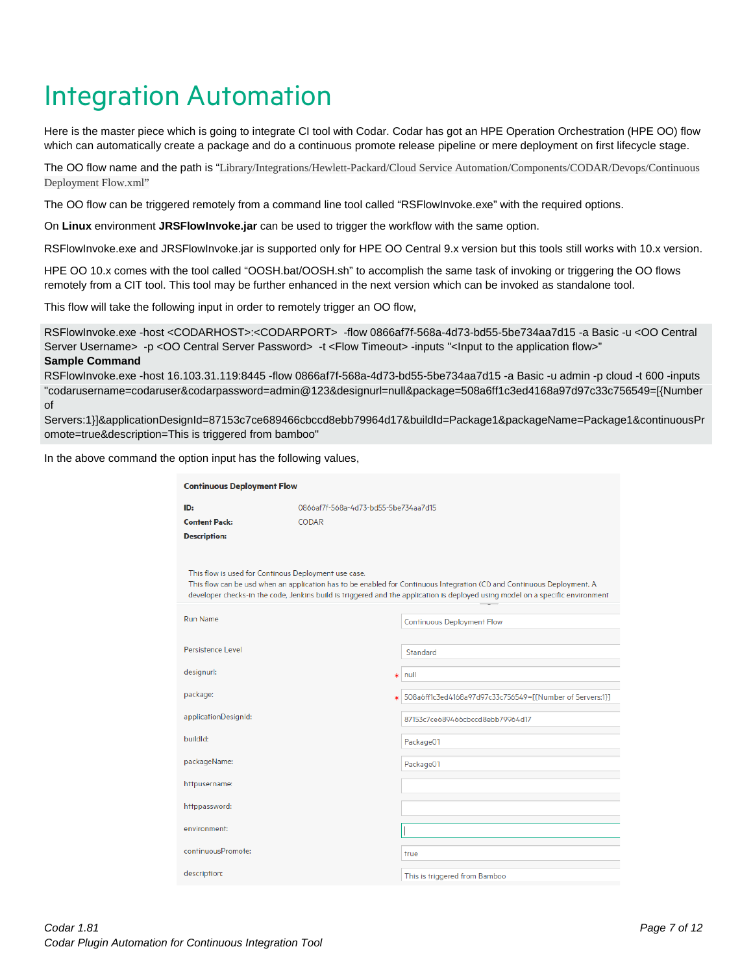### <span id="page-6-0"></span>Integration Automation

Here is the master piece which is going to integrate CI tool with Codar. Codar has got an HPE Operation Orchestration (HPE OO) flow which can automatically create a package and do a continuous promote release pipeline or mere deployment on first lifecycle stage.

The OO flow name and the path is "Library/Integrations/Hewlett-Packard/Cloud Service Automation/Components/CODAR/Devops/Continuous Deployment Flow.xml"

The OO flow can be triggered remotely from a command line tool called "RSFlowInvoke.exe" with the required options.

On **Linux** environment **JRSFlowInvoke.jar** can be used to trigger the workflow with the same option.

RSFlowInvoke.exe and JRSFlowInvoke.jar is supported only for HPE OO Central 9.x version but this tools still works with 10.x version.

HPE OO 10.x comes with the tool called "OOSH.bat/OOSH.sh" to accomplish the same task of invoking or triggering the OO flows remotely from a CIT tool. This tool may be further enhanced in the next version which can be invoked as standalone tool.

This flow will take the following input in order to remotely trigger an OO flow,

RSFlowInvoke.exe -host <CODARHOST>:<CODARPORT> -flow 0866af7f-568a-4d73-bd55-5be734aa7d15 -a Basic -u <OO Central Server Username> -p <OO Central Server Password> -t <Flow Timeout> -inputs "<Input to the application flow>" **Sample Command**

RSFlowInvoke.exe -host 16.103.31.119:8445 -flow 0866af7f-568a-4d73-bd55-5be734aa7d15 -a Basic -u admin -p cloud -t 600 -inputs "codarusername=codaruser&codarpassword=admin@123&designurl=null&package=508a6ff1c3ed4168a97d97c33c756549=[{Number of

Servers:1}]&applicationDesignId=87153c7ce689466cbccd8ebb79964d17&buildId=Package1&packageName=Package1&continuousPr omote=true&description=This is triggered from bamboo"

In the above command the option input has the following values,

| <b>Continuous Deployment Flow</b> |                                                      |                                                                                                                                                                                                                                                           |
|-----------------------------------|------------------------------------------------------|-----------------------------------------------------------------------------------------------------------------------------------------------------------------------------------------------------------------------------------------------------------|
| ID:                               | 0866af7f-568a-4d73-bd55-5be734aa7d15                 |                                                                                                                                                                                                                                                           |
| <b>Content Pack:</b>              | CODAR                                                |                                                                                                                                                                                                                                                           |
| <b>Description:</b>               |                                                      |                                                                                                                                                                                                                                                           |
|                                   | This flow is used for Continous Deployment use case. | This flow can be usd when an application has to be enabled for Continuous Integration (CI) and Continuous Deployment. A<br>developer checks-in the code, Jenkins build is triggered and the application is deployed using model on a specific environment |
| <b>Run Name</b>                   |                                                      | <b>Continuous Deployment Flow</b>                                                                                                                                                                                                                         |
| Persistence Level                 |                                                      | Standard                                                                                                                                                                                                                                                  |
| designurl:                        |                                                      | null<br>×.                                                                                                                                                                                                                                                |
| package:                          |                                                      | 508a6ff1c3ed4168a97d97c33c756549=[{Number of Servers:1}]<br>ж                                                                                                                                                                                             |
| applicationDesignId:              |                                                      | 87153c7ce689466cbccd8ebb79964d17                                                                                                                                                                                                                          |
| buildld:                          |                                                      | Package01                                                                                                                                                                                                                                                 |
| packageName:                      |                                                      | Package01                                                                                                                                                                                                                                                 |
| httpusername:                     |                                                      |                                                                                                                                                                                                                                                           |
| httppassword:                     |                                                      |                                                                                                                                                                                                                                                           |
| environment:                      |                                                      |                                                                                                                                                                                                                                                           |
| continuousPromote:                |                                                      | true                                                                                                                                                                                                                                                      |
| description:                      |                                                      | This is triggered from Bamboo                                                                                                                                                                                                                             |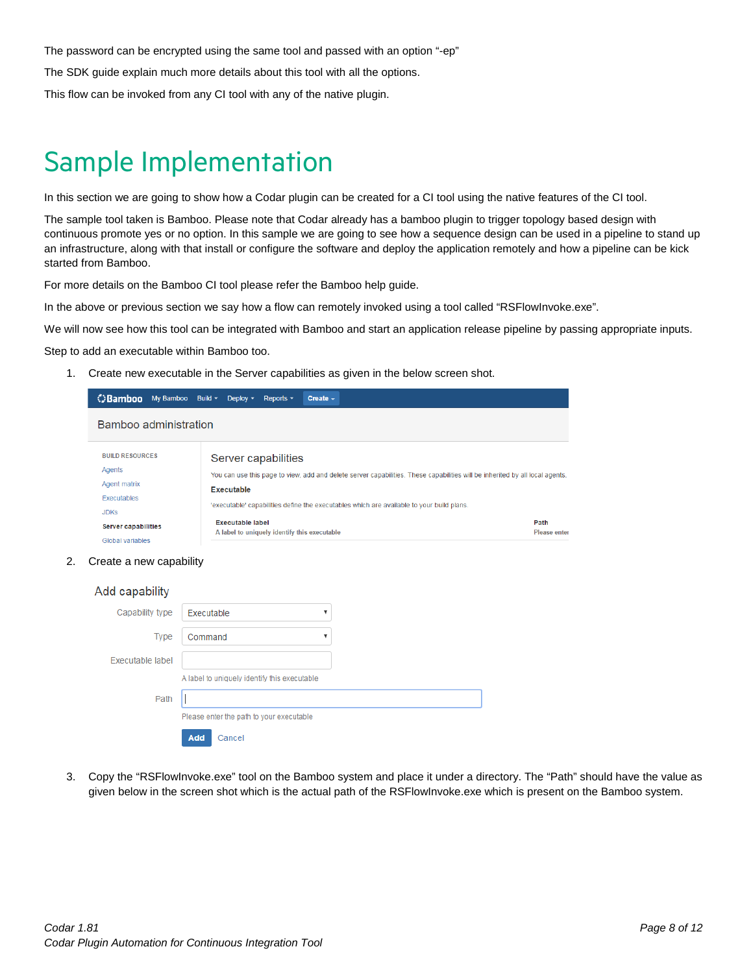The password can be encrypted using the same tool and passed with an option "-ep"

The SDK guide explain much more details about this tool with all the options.

This flow can be invoked from any CI tool with any of the native plugin.

#### <span id="page-7-0"></span>Sample Implementation

In this section we are going to show how a Codar plugin can be created for a CI tool using the native features of the CI tool.

The sample tool taken is Bamboo. Please note that Codar already has a bamboo plugin to trigger topology based design with continuous promote yes or no option. In this sample we are going to see how a sequence design can be used in a pipeline to stand up an infrastructure, along with that install or configure the software and deploy the application remotely and how a pipeline can be kick started from Bamboo.

For more details on the Bamboo CI tool please refer the Bamboo help guide.

In the above or previous section we say how a flow can remotely invoked using a tool called "RSFlowInvoke.exe".

We will now see how this tool can be integrated with Bamboo and start an application release pipeline by passing appropriate inputs.

Step to add an executable within Bamboo too.

1. Create new executable in the Server capabilities as given in the below screen shot.

| <b>C</b> Bamboo<br>My Bamboo Build $\sim$ | Deploy $\sim$<br>Reports $\sim$<br>Create $\sim$                                                                                           |                     |  |  |  |
|-------------------------------------------|--------------------------------------------------------------------------------------------------------------------------------------------|---------------------|--|--|--|
| Bamboo administration                     |                                                                                                                                            |                     |  |  |  |
| <b>BUILD RESOURCES</b><br>Agents          | Server capabilities                                                                                                                        |                     |  |  |  |
| Agent matrix                              | You can use this page to view, add and delete server capabilities. These capabilities will be inherited by all local agents.<br>Executable |                     |  |  |  |
| <b>Executables</b>                        |                                                                                                                                            |                     |  |  |  |
| <b>JDKS</b>                               | lexecutable' capabilities define the executables which are available to your build plans.                                                  |                     |  |  |  |
| <b>Server capabilities</b>                | <b>Executable label</b><br>Path                                                                                                            |                     |  |  |  |
| Global variables                          | A label to uniquely identify this executable                                                                                               | <b>Please enter</b> |  |  |  |

2. Create a new capability

| Add capability   |                                              |   |
|------------------|----------------------------------------------|---|
| Capability type  | Executable                                   | ▼ |
| <b>Type</b>      | Command                                      |   |
| Executable label |                                              |   |
|                  | A label to uniquely identify this executable |   |
| Path             |                                              |   |
|                  | Please enter the path to your executable     |   |
|                  | Add<br>Cancel                                |   |

3. Copy the "RSFlowInvoke.exe" tool on the Bamboo system and place it under a directory. The "Path" should have the value as given below in the screen shot which is the actual path of the RSFlowInvoke.exe which is present on the Bamboo system.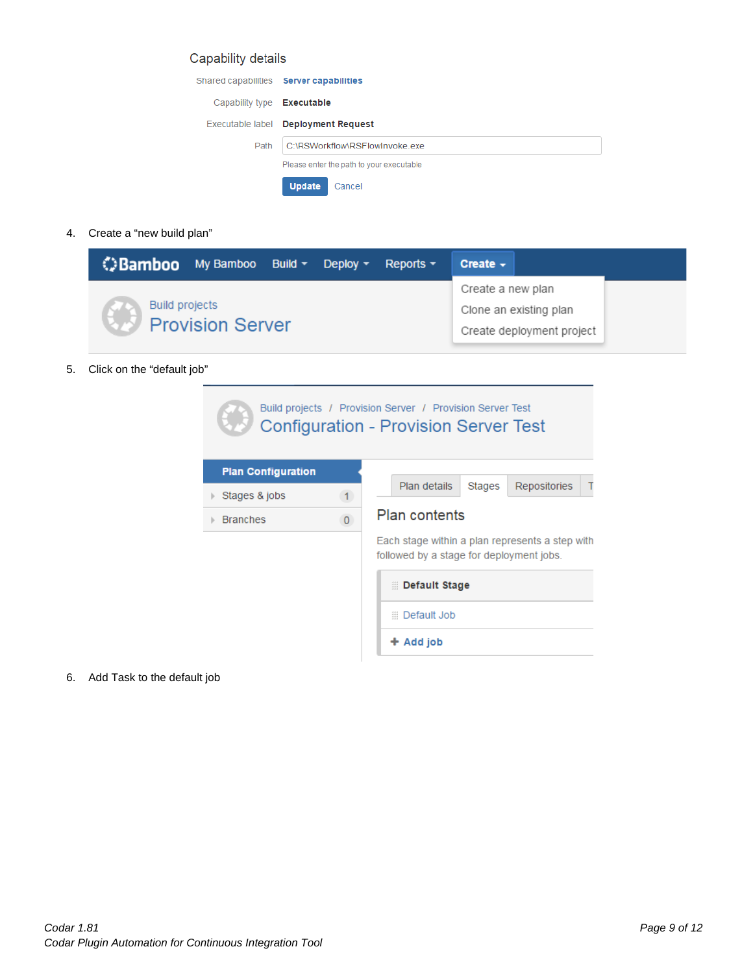#### Capability details

|                                   | Shared capabilities Server capabilities  |  |  |  |
|-----------------------------------|------------------------------------------|--|--|--|
| Capability type <b>Executable</b> |                                          |  |  |  |
|                                   | Executable label Deployment Request      |  |  |  |
| Path                              | C:\RSWorkflow\RSFlowInvoke.exe           |  |  |  |
|                                   | Please enter the path to your executable |  |  |  |
|                                   | <b>Update</b><br>Cancel                  |  |  |  |

4. Create a "new build plan"

| <b>Bamboo</b> My Bamboo Build v Deploy v |  | Reports $\sim$ | Create $\sim$     |                                                     |  |
|------------------------------------------|--|----------------|-------------------|-----------------------------------------------------|--|
| Build projects<br>Provision Server       |  |                | Create a new plan | Clone an existing plan<br>Create deployment project |  |

5. Click on the "default job"

|                           |              | Build projects / Provision Server / Provision Server Test<br><b>Configuration - Provision Server Test</b> |  |  |  |
|---------------------------|--------------|-----------------------------------------------------------------------------------------------------------|--|--|--|
| <b>Plan Configuration</b> |              |                                                                                                           |  |  |  |
| Stages & jobs             | $\mathbf{1}$ | Plan details<br>Repositories<br>Stages<br>Τ                                                               |  |  |  |
| <b>Branches</b>           | $\mathbf{0}$ | <b>Plan contents</b>                                                                                      |  |  |  |
|                           |              | Each stage within a plan represents a step with<br>followed by a stage for deployment jobs.               |  |  |  |
|                           |              | Default Stage                                                                                             |  |  |  |
|                           |              | <b>Default Job</b>                                                                                        |  |  |  |
|                           |              | $+$ Add job                                                                                               |  |  |  |

6. Add Task to the default job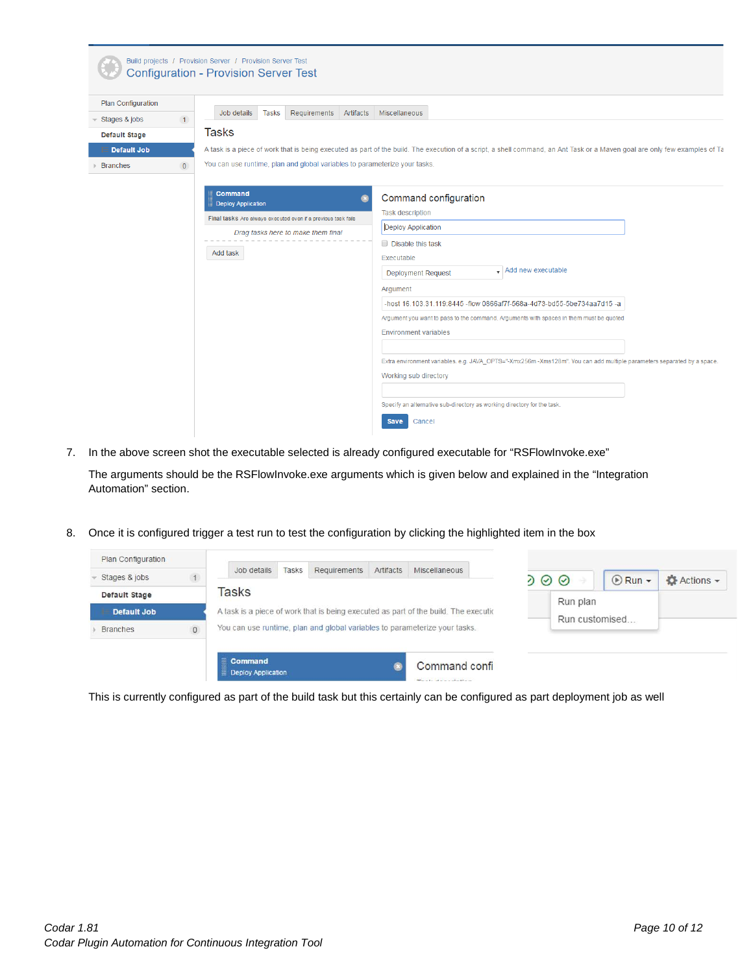| Plan Configuration            |                                                                            |                                                                                                                                                                            |
|-------------------------------|----------------------------------------------------------------------------|----------------------------------------------------------------------------------------------------------------------------------------------------------------------------|
| Stages & jobs<br>$\mathbf{1}$ | Job details<br>Requirements Artifacts<br>Tasks                             | <b>Miscellaneous</b>                                                                                                                                                       |
| <b>Default Stage</b>          | Tasks                                                                      |                                                                                                                                                                            |
| <b>Default Job</b>            |                                                                            | A task is a piece of work that is being executed as part of the build. The execution of a script, a shell command, an Ant Task or a Maven goal are only few examples of Ta |
| $\Omega$<br><b>Branches</b>   | You can use runtime, plan and global variables to parameterize your tasks. |                                                                                                                                                                            |
|                               |                                                                            |                                                                                                                                                                            |
|                               | <b>Command</b><br>o<br><b>Deploy Application</b>                           | Command configuration                                                                                                                                                      |
|                               | Final tasks Are always executed even if a previous task fails              | <b>Task description</b>                                                                                                                                                    |
|                               | Drag tasks here to make them final                                         | Deploy Application                                                                                                                                                         |
|                               |                                                                            | Disable this task                                                                                                                                                          |
|                               | Add task                                                                   | Executable                                                                                                                                                                 |
|                               |                                                                            | $\bullet$ Add new executable<br><b>Deployment Request</b>                                                                                                                  |
|                               |                                                                            | Argument                                                                                                                                                                   |
|                               |                                                                            | -host 16.103.31.119:8445 -flow 0866af7f-568a-4d73-bd55-5be734aa7d15 -a                                                                                                     |
|                               |                                                                            | Argument you want to pass to the command. Arguments with spaces in them must be quoted                                                                                     |
|                               |                                                                            | <b>Environment variables</b>                                                                                                                                               |
|                               |                                                                            |                                                                                                                                                                            |
|                               |                                                                            | Extra environment variables. e.g. JAVA_OPTS="-Xmx256m -Xms128m". You can add multiple parameters separated by a space.                                                     |
|                               |                                                                            | Working sub directory                                                                                                                                                      |

7. In the above screen shot the executable selected is already configured executable for "RSFlowInvoke.exe"

The arguments should be the RSFlowInvoke.exe arguments which is given below and explained in the "Integration Automation" section.

8. Once it is configured trigger a test run to test the configuration by clicking the highlighted item in the box

| Stages & jobs   |                                                                                            | Tasks<br>Requirements<br>Job details                                                 | Artifacts | Miscellaneous    | $0 \circledcirc$ |                | $\bigcirc$ Run $\star$ | <b>Actions</b> |
|-----------------|--------------------------------------------------------------------------------------------|--------------------------------------------------------------------------------------|-----------|------------------|------------------|----------------|------------------------|----------------|
| Default Stage   |                                                                                            | Tasks                                                                                |           |                  |                  | Run plan       |                        |                |
| Default Job     |                                                                                            | A task is a piece of work that is being executed as part of the build. The execution |           |                  |                  | Run customised |                        |                |
| <b>Branches</b> | You can use runtime, plan and global variables to parameterize your tasks.<br>$\mathsf{O}$ |                                                                                      |           |                  |                  |                |                        |                |
|                 |                                                                                            |                                                                                      |           |                  |                  |                |                        |                |
|                 |                                                                                            | <b>Command</b>                                                                       |           | Command confi    |                  |                |                        |                |
|                 |                                                                                            | <b>Deploy Application</b>                                                            |           | Tools doorshakes |                  |                |                        |                |

This is currently configured as part of the build task but this certainly can be configured as part deployment job as well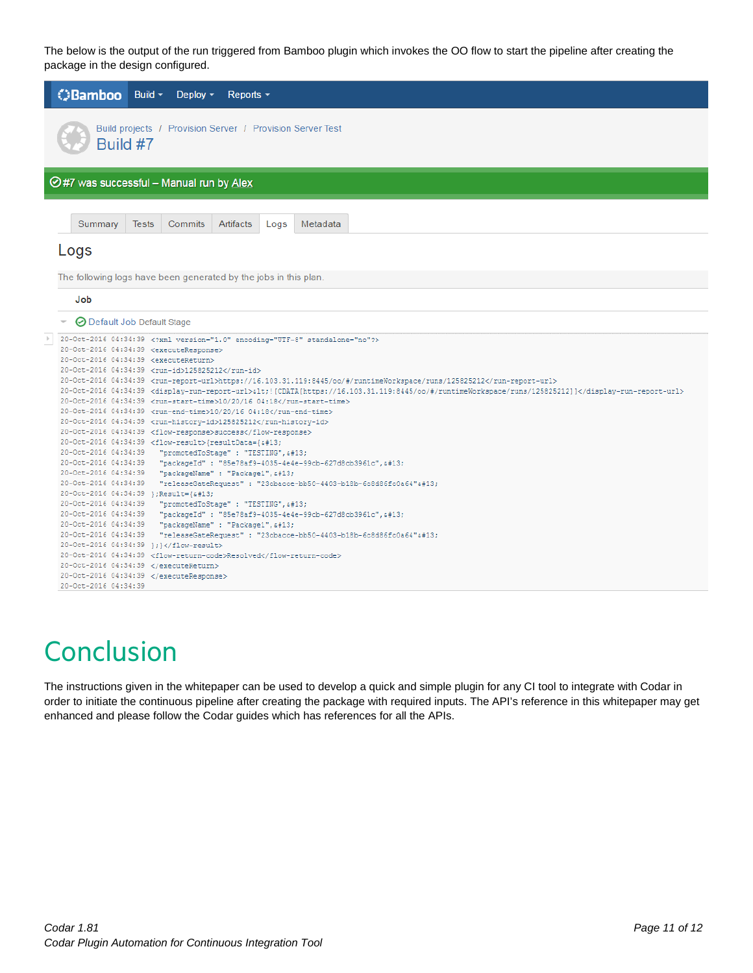The below is the output of the run triggered from Bamboo plugin which invokes the OO flow to start the pipeline after creating the package in the design configured.



### <span id="page-10-0"></span>**Conclusion**

The instructions given in the whitepaper can be used to develop a quick and simple plugin for any CI tool to integrate with Codar in order to initiate the continuous pipeline after creating the package with required inputs. The API's reference in this whitepaper may get enhanced and please follow the Codar guides which has references for all the APIs.